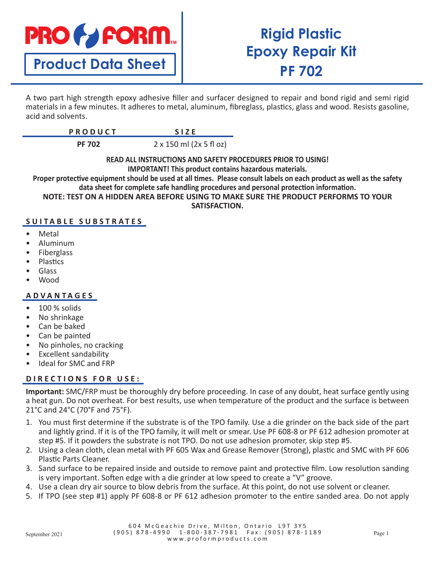

# **Product Data Sheet**

# **Rigid Plastic Epoxy Repair Kit PF 702**

A two part high strength epoxy adhesive filler and surfacer designed to repair and bond rigid and semi rigid materials in a few minutes. It adheres to metal, aluminum, fibreglass, plastics, glass and wood. Resists gasoline, acid and solvents.

| $D$ $D$ $D$ $D$ $I$ $I$ $C$ $T$<br><b>FRUDULI</b> |  |
|---------------------------------------------------|--|
|                                                   |  |

**PF 702** 2 x 150 ml (2x 5 fl oz)

**READ ALL INSTRUCTIONS AND SAFETY PROCEDURES PRIOR TO USING! IMPORTANT! This product contains hazardous materials.**

**Proper protective equipment should be used at all times. Please consult labels on each product as well as the safety data sheet for complete safe handling procedures and personal protection information.**

**NOTE: TEST ON A HIDDEN AREA BEFORE USING TO MAKE SURE THE PRODUCT PERFORMS TO YOUR** 

**SATISFACTION.**

## **SUITABLE SUBSTRATES**

- **Metal**
- Aluminum
- **Fiberglass**
- **Plastics**
- Glass
- Wood

#### **ADVANTAGES**

- 100 % solids
- No shrinkage
- Can be baked
- Can be painted
- No pinholes, no cracking
- Excellent sandability
- Ideal for SMC and FRP

## D I R E C T I O N S F O R U S E :

**Important:** SMC/FRP must be thoroughly dry before proceeding. In case of any doubt, heat surface gently using a heat gun. Do not overheat. For best results, use when temperature of the product and the surface is between 21°C and 24°C (70°F and 75°F).

- 1. You must first determine if the substrate is of the TPO family. Use a die grinder on the back side of the part and lightly grind. If it is of the TPO family, it will melt or smear. Use PF 608-8 or PF 612 adhesion promoter at step #5. If it powders the substrate is not TPO. Do not use adhesion promoter, skip step #5.
- 2. Using a clean cloth, clean metal with PF 605 Wax and Grease Remover (Strong), plastic and SMC with PF 606 Plastic Parts Cleaner.
- 3. Sand surface to be repaired inside and outside to remove paint and protective film. Low resolution sanding is very important. Soften edge with a die grinder at low speed to create a "V" groove.
- 4. Use a clean dry air source to blow debris from the surface. At this point, do not use solvent or cleaner.
- 5. If TPO (see step #1) apply PF 608-8 or PF 612 adhesion promoter to the entire sanded area. Do not apply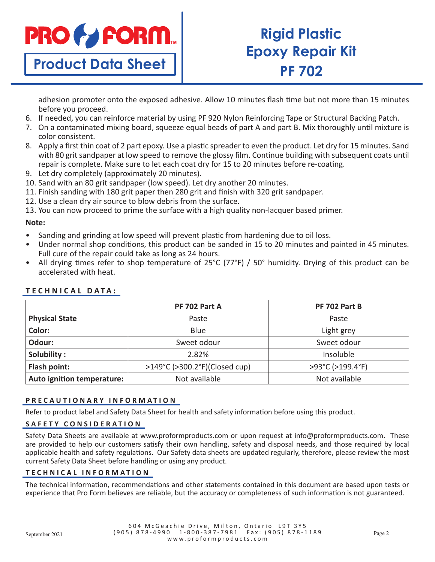

**Product Data Sheet**

# **Rigid Plastic Epoxy Repair Kit PF 702**

adhesion promoter onto the exposed adhesive. Allow 10 minutes flash time but not more than 15 minutes before you proceed.

- 6. If needed, you can reinforce material by using PF 920 Nylon Reinforcing Tape or Structural Backing Patch.
- 7. On a contaminated mixing board, squeeze equal beads of part A and part B. Mix thoroughly until mixture is color consistent.
- 8. Apply a first thin coat of 2 part epoxy. Use a plastic spreader to even the product. Let dry for 15 minutes. Sand with 80 grit sandpaper at low speed to remove the glossy film. Continue building with subsequent coats until repair is complete. Make sure to let each coat dry for 15 to 20 minutes before re-coating.
- 9. Let dry completely (approximately 20 minutes).
- 10. Sand with an 80 grit sandpaper (low speed). Let dry another 20 minutes.
- 11. Finish sanding with 180 grit paper then 280 grit and finish with 320 grit sandpaper.
- 12. Use a clean dry air source to blow debris from the surface.
- 13. You can now proceed to prime the surface with a high quality non-lacquer based primer.

#### **Note:**

- Sanding and grinding at low speed will prevent plastic from hardening due to oil loss.
- Under normal shop conditions, this product can be sanded in 15 to 20 minutes and painted in 45 minutes. Full cure of the repair could take as long as 24 hours.
- All drying times refer to shop temperature of 25°C (77°F) / 50° humidity. Drying of this product can be accelerated with heat.

|                            | PF 702 Part A                 | PF 702 Part B    |
|----------------------------|-------------------------------|------------------|
| <b>Physical State</b>      | Paste                         | Paste            |
| Color:                     | Blue                          | Light grey       |
| Odour:                     | Sweet odour                   | Sweet odour      |
| Solubility:                | 2.82%                         | Insoluble        |
| Flash point:               | >149°C (>300.2°F)(Closed cup) | >93°C (>199.4°F) |
| Auto ignition temperature: | Not available                 | Not available    |

## **TECHNICAL DATA:**

## **PRECAUTIONARY INFORMATION**

Refer to product label and Safety Data Sheet for health and safety information before using this product.

## **SAFETY CONSIDERATION**

Safety Data Sheets are available at www.proformproducts.com or upon request at info@proformproducts.com. These are provided to help our customers satisfy their own handling, safety and disposal needs, and those required by local applicable health and safety regulations. Our Safety data sheets are updated regularly, therefore, please review the most current Safety Data Sheet before handling or using any product.

#### **TECHNICAL INFORMATION**

The technical information, recommendations and other statements contained in this document are based upon tests or experience that Pro Form believes are reliable, but the accuracy or completeness of such information is not guaranteed.